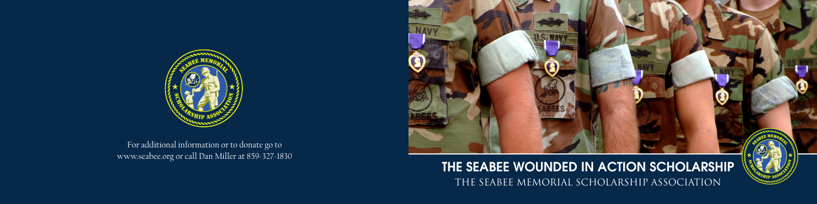## THE SEABEE WOUNDED IN ACTION SCHOLARSHIP The Seabee Memorial Scholarship Association



For additional information or to donate go to www.seabee.org or call Dan Miller at 859-327-1830